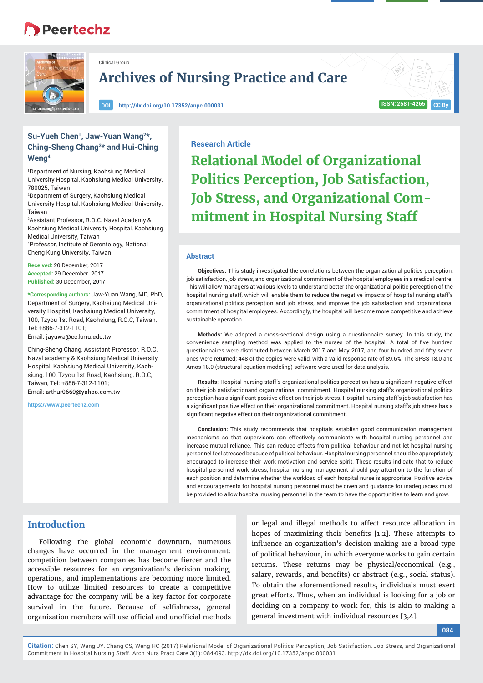# **Peertechz**



Clinical Group

**Archives of Nursing Practice and Care**

**DOI http://dx.doi.org/10.17352/anpc.000031 ISSN: 2581-4265**

# **CC By**

# Su-Yueh Chen<sup>1</sup>, Jaw-Yuan Wang<sup>2\*</sup>, **Ching-Sheng Chang3\* and Hui-Ching Weng4**

1 Department of Nursing, Kaohsiung Medical University Hospital, Kaohsiung Medical University, 780025, Taiwan

2 Department of Surgery, Kaohsiung Medical University Hospital, Kaohsiung Medical University, Taiwan

3 Assistant Professor, R.O.C. Naval Academy & Kaohsiung Medical University Hospital, Kaohsiung Medical University, Taiwan 4 Professor, Institute of Gerontology, National Cheng Kung University, Taiwan

**Received:** 20 December, 2017 **Accepted:** 29 December, 2017 **Published:** 30 December, 2017

**\*Corresponding authors:** Jaw-Yuan Wang, MD, PhD, Department of Surgery, Kaohsiung Medical University Hospital, Kaohsiung Medical University, 100, Tzyou 1st Road, Kaohsiung, R.O.C, Taiwan, Tel: +886-7-312-1101;

Email: jayuwa@cc.kmu.edu.tw

Ching-Sheng Chang, Assistant Professor, R.O.C. Naval academy & Kaohsiung Medical University Hospital, Kaohsiung Medical University, Kaohsiung, 100, Tzyou 1st Road, Kaohsiung, R.O.C, Taiwan, Tel: +886-7-312-1101; Email: arthur0660@yahoo.com.tw

**https://www.peertechz.com**

# **Research Article**

**Relational Model of Organizational Politics Perception, Job Satisfaction, Job Stress, and Organizational Commitment in Hospital Nursing Staff**

#### **Abstract**

**Objectives:** This study investigated the correlations between the organizational politics perception, job satisfaction, job stress, and organizational commitment of the hospital employees in a medical centre. This will allow managers at various levels to understand better the organizational politic perception of the hospital nursing staff, which will enable them to reduce the negative impacts of hospital nursing staff's organizational politics perception and job stress, and improve the job satisfaction and organizational commitment of hospital employees. Accordingly, the hospital will become more competitive and achieve sustainable operation.

**Methods:** We adopted a cross-sectional design using a questionnaire survey. In this study, the convenience sampling method was applied to the nurses of the hospital. A total of five hundred questionnaires were distributed between March 2017 and May 2017, and four hundred and fifty seven ones were returned; 448 of the copies were valid, with a valid response rate of 89.6%. The SPSS 18.0 and Amos 18.0 (structural equation modeling) software were used for data analysis.

Results: Hospital nursing staff's organizational politics perception has a significant negative effect on their job satisfactionand organizational commitment. Hospital nursing staff's organizational politics perception has a significant positive effect on their job stress. Hospital nursing staff's job satisfaction has a significant positive effect on their organizational commitment. Hospital nursing staff's job stress has a significant negative effect on their organizational commitment.

**Conclusion:** This study recommends that hospitals establish good communication management mechanisms so that supervisors can effectively communicate with hospital nursing personnel and increase mutual reliance. This can reduce effects from political behaviour and not let hospital nursing personnel feel stressed because of political behaviour. Hospital nursing personnel should be appropriately encouraged to increase their work motivation and service spirit. These results indicate that to reduce hospital personnel work stress, hospital nursing management should pay attention to the function of each position and determine whether the workload of each hospital nurse is appropriate. Positive advice and encouragements for hospital nursing personnel must be given and guidance for inadequacies must be provided to allow hospital nursing personnel in the team to have the opportunities to learn and grow.

# **Introduction**

Following the global economic downturn, numerous changes have occurred in the management environment: competition between companies has become fiercer and the accessible resources for an organization's decision making, operations, and implementations are becoming more limited. How to utilize limited resources to create a competitive advantage for the company will be a key factor for corporate survival in the future. Because of selfishness, general organization members will use official and unofficial methods

or legal and illegal methods to affect resource allocation in hopes of maximizing their benefits  $[1,2]$ . These attempts to influence an organization's decision making are a broad type of political behaviour, in which everyone works to gain certain returns. These returns may be physical/economical (e.g., salary, rewards, and benefits) or abstract (e.g., social status). To obtain the aforementioned results, individuals must exert great efforts. Thus, when an individual is looking for a job or deciding on a company to work for, this is akin to making a general investment with individual resources [3,4].

**084**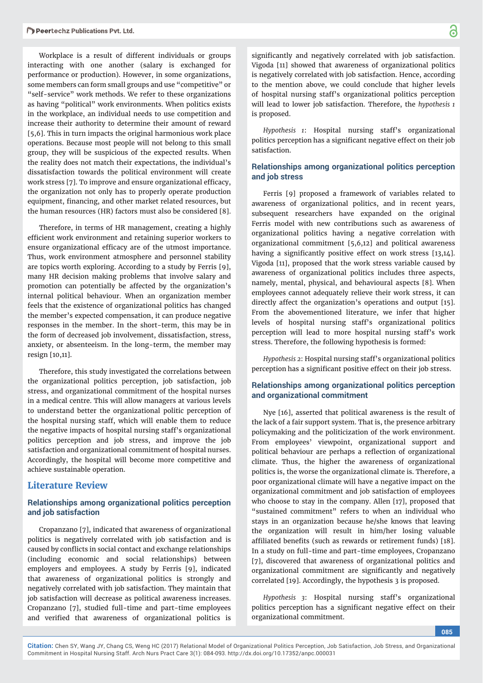Workplace is a result of different individuals or groups interacting with one another (salary is exchanged for performance or production). However, in some organizations, some members can form small groups and use "competitive" or "self-service" work methods. We refer to these organizations as having "political" work environments. When politics exists in the workplace, an individual needs to use competition and increase their authority to determine their amount of reward [5,6]. This in turn impacts the original harmonious work place operations. Because most people will not belong to this small group, they will be suspicious of the expected results. When the reality does not match their expectations, the individual's dissatisfaction towards the political environment will create work stress [7]. To improve and ensure organizational efficacy, the organization not only has to properly operate production equipment, financing, and other market related resources, but the human resources (HR) factors must also be considered [8].

Therefore, in terms of HR management, creating a highly efficient work environment and retaining superior workers to ensure organizational efficacy are of the utmost importance. Thus, work environment atmosphere and personnel stability are topics worth exploring. According to a study by Ferris [9], many HR decision making problems that involve salary and promotion can potentially be affected by the organization's internal political behaviour. When an organization member feels that the existence of organizational politics has changed the member's expected compensation, it can produce negative responses in the member. In the short-term, this may be in the form of decreased job involvement, dissatisfaction, stress, anxiety, or absenteeism. In the long-term, the member may resign [10,11].

Therefore, this study investigated the correlations between the organizational politics perception, job satisfaction, job stress, and organizational commitment of the hospital nurses in a medical centre. This will allow managers at various levels to understand better the organizational politic perception of the hospital nursing staff, which will enable them to reduce the negative impacts of hospital nursing staff's organizational politics perception and job stress, and improve the job satisfaction and organizational commitment of hospital nurses. Accordingly, the hospital will become more competitive and achieve sustainable operation.

# **Literature Review**

### **Relationships among organizational politics perception and job satisfaction**

Cropanzano [7], indicated that awareness of organizational politics is negatively correlated with job satisfaction and is caused by conflicts in social contact and exchange relationships (including economic and social relationships) between employers and employees. A study by Ferris [9], indicated that awareness of organizational politics is strongly and negatively correlated with job satisfaction. They maintain that job satisfaction will decrease as political awareness increases. Cropanzano [7], studied full-time and part-time employees and verified that awareness of organizational politics is

significantly and negatively correlated with job satisfaction. Vigoda [11] showed that awareness of organizational politics is negatively correlated with job satisfaction. Hence, according to the mention above, we could conclude that higher levels of hospital nursing staff's organizational politics perception will lead to lower job satisfaction. Therefore, the *hypothesis 1*  is proposed.

*Hypothesis 1*: Hospital nursing staff's organizational politics perception has a significant negative effect on their job satisfaction.

# **Relationships among organizational politics perception and job stress**

Ferris [9] proposed a framework of variables related to awareness of organizational politics, and in recent years, subsequent researchers have expanded on the original Ferris model with new contributions such as awareness of organizational politics having a negative correlation with organizational commitment [5,6,12] and political awareness having a significantly positive effect on work stress  $[13,14]$ . Vigoda [11], proposed that the work stress variable caused by awareness of organizational politics includes three aspects, namely, mental, physical, and behavioural aspects [8]. When employees cannot adequately relieve their work stress, it can directly affect the organization's operations and output [15]. From the abovementioned literature, we infer that higher levels of hospital nursing staff's organizational politics perception will lead to more hospital nursing staff's work stress. Therefore, the following hypothesis is formed:

*Hypothesis 2*: Hospital nursing staff's organizational politics perception has a significant positive effect on their job stress.

#### **Relationships among organizational politics perception and organizational commitment**

Nye [16], asserted that political awareness is the result of the lack of a fair support system. That is, the presence arbitrary policymaking and the politicization of the work environment. From employees' viewpoint, organizational support and political behaviour are perhaps a reflection of organizational climate. Thus, the higher the awareness of organizational politics is, the worse the organizational climate is. Therefore, a poor organizational climate will have a negative impact on the organizational commitment and job satisfaction of employees who choose to stay in the company. Allen [17], proposed that "sustained commitment" refers to when an individual who stays in an organization because he/she knows that leaving the organization will result in him/her losing valuable affiliated benefits (such as rewards or retirement funds) [18]. In a study on full-time and part-time employees, Cropanzano [7], discovered that awareness of organizational politics and organizational commitment are significantly and negatively correlated [19]. Accordingly, the hypothesis 3 is proposed.

*Hypothesis 3*: Hospital nursing staff's organizational politics perception has a significant negative effect on their organizational commitment.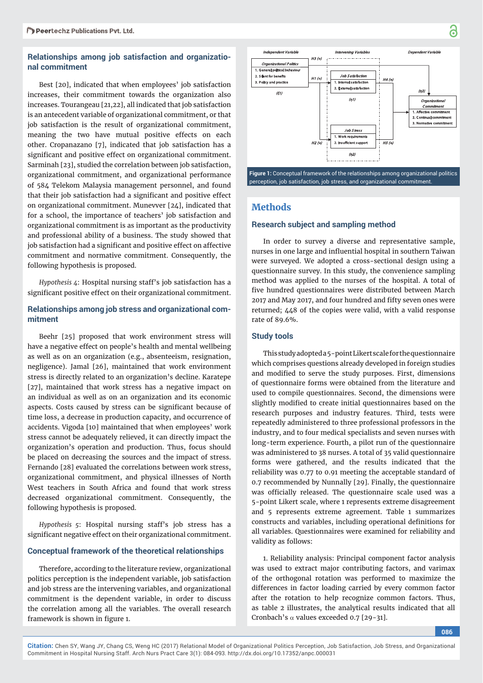# **Relationships among job satisfaction and organizational commitment**

Best [20], indicated that when employees' job satisfaction increases, their commitment towards the organization also increases. Tourangeau [21,22], all indicated that job satisfaction is an antecedent variable of organizational commitment, or that job satisfaction is the result of organizational commitment, meaning the two have mutual positive effects on each other. Cropanazano [7], indicated that job satisfaction has a significant and positive effect on organizational commitment. Sarminah [23], studied the correlation between job satisfaction, organizational commitment, and organizational performance of 584 Telekom Malaysia management personnel, and found that their job satisfaction had a significant and positive effect on organizational commitment. Munevver [24], indicated that for a school, the importance of teachers' job satisfaction and organizational commitment is as important as the productivity and professional ability of a business. The study showed that job satisfaction had a significant and positive effect on affective commitment and normative commitment. Consequently, the following hypothesis is proposed.

*Hypothesis 4*: Hospital nursing staff's job satisfaction has a significant positive effect on their organizational commitment.

#### **Relationships among job stress and organizational commitment**

Beehr [25] proposed that work environment stress will have a negative effect on people's health and mental wellbeing as well as on an organization (e.g., absenteeism, resignation, negligence). Jamal [26], maintained that work environment stress is directly related to an organization's decline. Karatepe [27], maintained that work stress has a negative impact on an individual as well as on an organization and its economic aspects. Costs caused by stress can be significant because of time loss, a decrease in production capacity, and occurrence of accidents. Vigoda [10] maintained that when employees' work stress cannot be adequately relieved, it can directly impact the organization's operation and production. Thus, focus should be placed on decreasing the sources and the impact of stress. Fernando [28] evaluated the correlations between work stress, organizational commitment, and physical illnesses of North West teachers in South Africa and found that work stress decreased organizational commitment. Consequently, the following hypothesis is proposed.

*Hypothesis 5*: Hospital nursing staff's job stress has a significant negative effect on their organizational commitment.

#### **Conceptual framework of the theoretical relationships**

Therefore, according to the literature review, organizational politics perception is the independent variable, job satisfaction and job stress are the intervening variables, and organizational commitment is the dependent variable, in order to discuss the correlation among all the variables. The overall research framework is shown in figure 1.



**Figure 1:** Conceptual framework of the relationships among organizational politics perception, job satisfaction, job stress, and organizational commitment.

# **Methods**

#### **Research subject and sampling method**

In order to survey a diverse and representative sample, nurses in one large and influential hospital in southern Taiwan were surveyed. We adopted a cross-sectional design using a questionnaire survey. In this study, the convenience sampling method was applied to the nurses of the hospital. A total of five hundred questionnaires were distributed between March 2017 and May 2017, and four hundred and fifty seven ones were returned; 448 of the copies were valid, with a valid response rate of 89.6%.

#### **Study tools**

This study adopted a 5-point Likert scale for the questionnaire which comprises questions already developed in foreign studies and modified to serve the study purposes. First, dimensions of questionnaire forms were obtained from the literature and used to compile questionnaires. Second, the dimensions were slightly modified to create initial questionnaires based on the research purposes and industry features. Third, tests were repeatedly administered to three professional professors in the industry, and to four medical specialists and seven nurses with long-term experience. Fourth, a pilot run of the questionnaire was administered to 38 nurses. A total of 35 valid questionnaire forms were gathered, and the results indicated that the reliability was 0.77 to 0.91 meeting the acceptable standard of 0.7 recommended by Nunnally [29]. Finally, the questionnaire was officially released. The questionnaire scale used was a 5-point Likert scale, where 1 represents extreme disagreement and 5 represents extreme agreement. Table 1 summarizes constructs and variables, including operational definitions for all variables. Questionnaires were examined for reliability and validity as follows:

1. Reliability analysis: Principal component factor analysis was used to extract major contributing factors, and varimax of the orthogonal rotation was performed to maximize the differences in factor loading carried by every common factor after the rotation to help recognize common factors. Thus, as table 2 illustrates, the analytical results indicated that all Cronbach's  $\alpha$  values exceeded 0.7 [29-31].

**086**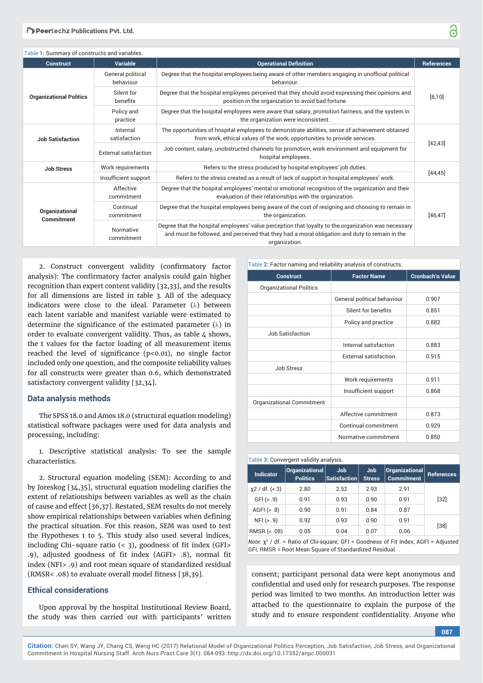| Table 1: Summary of constructs and variables. |                                                                                                                               |                                                                                                                                                                                                                        |            |  |
|-----------------------------------------------|-------------------------------------------------------------------------------------------------------------------------------|------------------------------------------------------------------------------------------------------------------------------------------------------------------------------------------------------------------------|------------|--|
| <b>Construct</b>                              | Variable                                                                                                                      | <b>Operational Definition</b>                                                                                                                                                                                          | References |  |
| <b>Organizational Politics</b>                | General political<br>behaviour                                                                                                | Degree that the hospital employees being aware of other members engaging in unofficial political<br>behaviour.                                                                                                         | [6, 10]    |  |
|                                               | Silent for<br>benefits                                                                                                        | Degree that the hospital employees perceived that they should avoid expressing their opinions and<br>position in the organization to avoid bad fortune.                                                                |            |  |
|                                               | Policy and<br>practice                                                                                                        | Degree that the hospital employees were aware that salary, promotion fairness, and the system in<br>the organization were inconsistent.                                                                                |            |  |
| <b>Job Satisfaction</b>                       | Internal<br>satisfaction                                                                                                      | The opportunities of hospital employees to demonstrate abilities, sense of achievement obtained<br>from work, ethical values of the work, opportunities to provide services.                                           | [42, 43]   |  |
|                                               | External satisfaction                                                                                                         | Job content, salary, unobstructed channels for promotion, work environment and equipment for<br>hospital employees.                                                                                                    |            |  |
| <b>Job Stress</b>                             | Work requirements                                                                                                             | Refers to the stress produced by hospital employees' job duties.                                                                                                                                                       |            |  |
|                                               | Refers to the stress created as a result of lack of support in hospital employees' work.<br>Insufficient support<br>Affective | [44, 45]                                                                                                                                                                                                               |            |  |
|                                               | commitment                                                                                                                    | Degree that the hospital employees' mental or emotional recognition of the organization and their<br>evaluation of their relationships with the organization.                                                          |            |  |
| Organizational<br>Commitment                  | Continual<br>commitment                                                                                                       | Degree that the hospital employees being aware of the cost of resigning and choosing to remain in<br>the organization.                                                                                                 | [46, 47]   |  |
|                                               | Normative<br>commitment                                                                                                       | Degree that the hospital employees' value perception that loyalty to the organization was necessary<br>and must be followed, and perceived that they had a moral obligation and duty to remain in the<br>organization. |            |  |

2. Construct convergent validity (confirmatory factor analysis): The confirmatory factor analysis could gain higher recognition than expert content validity [32,33], and the results for all dimensions are listed in table 3. All of the adequacy indicators were close to the ideal. Parameter  $(\lambda)$  between each latent variable and manifest variable were estimated to determine the significance of the estimated parameter  $(\lambda)$  in order to evaluate convergent validity. Thus, as table 4 shows, the t values for the factor loading of all measurement items reached the level of significance ( $p<0.01$ ), no single factor included only one question, and the composite reliability values for all constructs were greater than 0.6, which demonstrated satisfactory convergent validity [32,34].

#### **Data analysis methods**

The SPSS 18.0 and Amos 18.0 (structural equation modeling) statistical software packages were used for data analysis and processing, including:

1. Descriptive statistical analysis: To see the sample characteristics.

2. Structural equation modeling (SEM): According to and by Joreskog  $[34,35]$ , structural equation modeling clarifies the extent of relationships between variables as well as the chain of cause and effect [36,37]. Restated, SEM results do not merely show empirical relationships between variables when defining the practical situation. For this reason, SEM was used to test the Hypotheses 1 to 5. This study also used several indices, including Chi-square ratio  $( $3$ ), goodness of fit index (GFI>$ .9), adjusted goodness of fit index (AGFI> .8), normal fit index (NFI> .9) and root mean square of standardized residual (RMSR<  $.08$ ) to evaluate overall model fitness [38,39].

#### **Ethical considerations**

Upon approval by the hospital Institutional Review Board, the study was then carried out with participants' written

| Table 2: Factor naming and reliability analysis of constructs. |                              |                  |  |
|----------------------------------------------------------------|------------------------------|------------------|--|
| <b>Construct</b>                                               | <b>Factor Name</b>           | Cronbach'a Value |  |
| <b>Organizational Politics</b>                                 |                              |                  |  |
|                                                                | General political behaviour  | 0.907            |  |
|                                                                | Silent for benefits          | 0.851            |  |
|                                                                | Policy and practice          | 0.882            |  |
| Job Satisfaction                                               |                              |                  |  |
|                                                                | Internal satisfaction        | 0.883            |  |
|                                                                | <b>External satisfaction</b> | 0.915            |  |
| <b>Job Stress</b>                                              |                              |                  |  |
|                                                                | Work requirements            | 0.911            |  |
|                                                                | Insufficient support         | 0.868            |  |
| Organizational Commitment                                      |                              |                  |  |
|                                                                | Affective commitment         | 0.873            |  |
|                                                                | Continual commitment         | 0.929            |  |
|                                                                | Normative commitment         | 0.850            |  |

#### Table **3:** Convergent validity analysis.

| <b>Indicator</b>  | Organizational<br><b>Politics</b> | <b>Job</b><br>Satisfaction | Job<br><b>Stress</b> | $ $ Organizational $ $<br><b>Commitment</b> | <b>References</b> |
|-------------------|-----------------------------------|----------------------------|----------------------|---------------------------------------------|-------------------|
| $x^2$ / df. (< 3) | 2.80                              | 2.52                       | 2.93                 | 2.91                                        |                   |
| GFI ( > .9)       | 0.91                              | 0.93                       | 0.90                 | 0.91                                        | $[32]$            |
| AGFI $(> .8)$     | 0.90                              | 0.91                       | 0.84                 | 0.87                                        |                   |
| NFI (> .9)        | 0.92                              | 0.93                       | 0.90                 | 0.91                                        |                   |
| RMSR (< .08)      | 0.05                              | 0.04                       | 0.07                 | 0.06                                        | $[38]$            |

*Note.*  $\chi^2$  / df. = Ratio of Chi-square; GFI = Goodness of Fit Index; AGFI = Adjusted GFI; RMSR = Root Mean Square of Standardized Residual.

consent; participant personal data were kept anonymous and confidential and used only for research purposes. The response period was limited to two months. An introduction letter was attached to the questionnaire to explain the purpose of the study and to ensure respondent confidentiality. Anyone who

**087**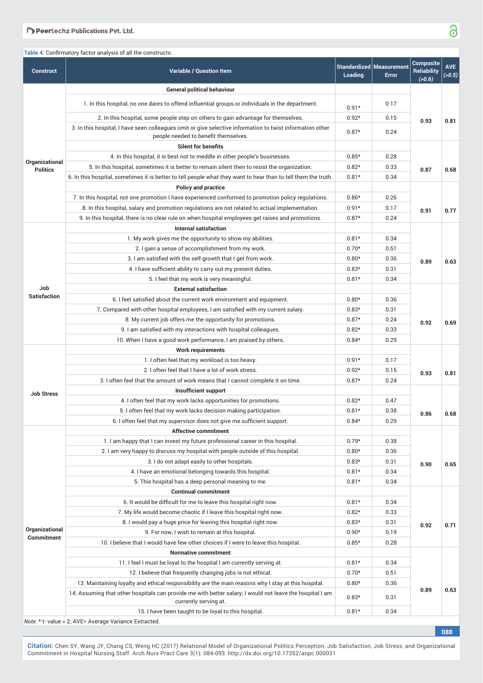#### Peertechz Publications Pvt. Ltd.

|                                   | Table 4: Confirmatory factor analysis of all the constructs.                                                                                      |         |                                                 |                                                  |                       |
|-----------------------------------|---------------------------------------------------------------------------------------------------------------------------------------------------|---------|-------------------------------------------------|--------------------------------------------------|-----------------------|
| <b>Construct</b>                  | <b>Variable / Question Item</b>                                                                                                                   | Loading | <b>Standardized Measurement</b><br><b>Error</b> | <b>Composite</b><br><b>Reliability</b><br>(>0.6) | <b>AVE</b><br>( >0.5) |
|                                   | <b>General political behaviour</b>                                                                                                                |         |                                                 |                                                  |                       |
|                                   | 1. In this hospital, no one dares to offend influential groups or individuals in the department.                                                  | $0.91*$ | 0.17                                            |                                                  |                       |
|                                   | 2. In this hospital, some people step on others to gain advantage for themselves.                                                                 | $0.92*$ | 0.15                                            | 0.93                                             | 0.81                  |
|                                   | 3. In this hospital, I have seen colleagues omit or give selective information to twist information other<br>people needed to benefit themselves. | $0.87*$ | 0.24                                            |                                                  |                       |
|                                   | <b>Silent for benefits</b>                                                                                                                        |         |                                                 |                                                  |                       |
|                                   | 4. In this hospital, it is best not to meddle in other people's businesses.                                                                       | $0.85*$ | 0.28                                            |                                                  |                       |
| Organizational<br><b>Politics</b> | 5. In this hospital, sometimes it is better to remain silent then to resist the organization.                                                     | $0.82*$ | 0.33                                            | 0.87                                             | 0.68                  |
|                                   | 6. In this hospital, sometimes it is better to tell people what they want to hear than to tell them the truth.                                    | $0.81*$ | 0.34                                            |                                                  |                       |
|                                   | <b>Policy and practice</b>                                                                                                                        |         |                                                 |                                                  |                       |
|                                   | 7. In this hospital, not one promotion I have experienced conformed to promotion policy regulations.                                              | $0.86*$ | 0.26                                            |                                                  |                       |
|                                   | 8. In this hospital, salary and promotion regulations are not related to actual implementation.                                                   | $0.91*$ | 0.17                                            | 0.91                                             | 0.77                  |
|                                   | 9. In this hospital, there is no clear rule on when hospital employees get raises and promotions.                                                 | $0.87*$ | 0.24                                            |                                                  |                       |
|                                   | <b>Internal satisfaction</b>                                                                                                                      |         |                                                 |                                                  |                       |
|                                   | 1. My work gives me the opportunity to show my abilities.                                                                                         | $0.81*$ | 0.34                                            |                                                  |                       |
|                                   | 2. I gain a sense of accomplishment from my work.                                                                                                 | $0.70*$ | 0.51                                            |                                                  |                       |
|                                   | 3. I am satisfied with the self-growth that I get from work.                                                                                      | $0.80*$ | 0.36                                            | 0.89                                             | 0.63                  |
|                                   | 4. I have sufficient ability to carry out my present duties.                                                                                      | $0.83*$ | 0.31                                            |                                                  |                       |
|                                   | 5. I feel that my work is very meaningful.                                                                                                        | $0.81*$ | 0.34                                            |                                                  |                       |
| Job                               | <b>External satisfaction</b>                                                                                                                      |         |                                                 |                                                  |                       |
| <b>Satisfaction</b>               | 6. I feel satisfied about the current work environment and equipment.                                                                             | $0.80*$ | 0.36                                            |                                                  |                       |
|                                   | 7. Compared with other hospital employees, I am satisfied with my current salary.                                                                 | $0.83*$ | 0.31                                            |                                                  |                       |
|                                   | 8. My current job offers me the opportunity for promotions.                                                                                       | $0.87*$ | 0.24                                            | 0.92                                             | 0.69                  |
|                                   | 9. I am satisfied with my interactions with hospital colleagues.                                                                                  | $0.82*$ | 0.33                                            |                                                  |                       |
|                                   | 10. When I have a good work performance, I am praised by others.                                                                                  | $0.84*$ | 0.29                                            |                                                  |                       |
|                                   | <b>Work requirements</b>                                                                                                                          |         |                                                 |                                                  |                       |
|                                   | 1. I often feel that my workload is too heavy.                                                                                                    | $0.91*$ | 0.17                                            |                                                  |                       |
|                                   | 2. I often feel that I have a lot of work stress.                                                                                                 | $0.92*$ | 0.15                                            | 0.93                                             | 0.81                  |
|                                   | 3. I often feel that the amount of work means that I cannot complete it on time.                                                                  | $0.87*$ | 0.24                                            |                                                  |                       |
| <b>Job Stress</b>                 | Insufficient support                                                                                                                              |         |                                                 |                                                  |                       |
|                                   | 4. I often feel that my work lacks opportunities for promotions.                                                                                  | $0.82*$ | 0.47                                            |                                                  |                       |
|                                   | 5. I often feel that my work lacks decision making participation.                                                                                 | $0.81*$ | 0.38                                            | 0.86                                             | 0.68                  |
|                                   | 6. I often feel that my supervisor does not give me sufficient support.                                                                           | $0.84*$ | 0.29                                            |                                                  |                       |
|                                   | <b>Affective commitment</b>                                                                                                                       |         |                                                 |                                                  |                       |
|                                   | 1. I am happy that I can invest my future professional career in this hospital.                                                                   | $0.79*$ | 0.38                                            |                                                  |                       |
|                                   | 2. I am very happy to discuss my hospital with people outside of this hospital.                                                                   | $0.80*$ | 0.36                                            |                                                  |                       |
|                                   | 3. I do not adapt easily to other hospitals.                                                                                                      | $0.83*$ | 0.31                                            | 0.90                                             | 0.65                  |
|                                   | 4. I have an emotional belonging towards this hospital.                                                                                           | $0.81*$ | 0.34                                            |                                                  |                       |
|                                   | 5. This hospital has a deep personal meaning to me.                                                                                               | $0.81*$ | 0.34                                            |                                                  |                       |
|                                   | <b>Continual commitment</b>                                                                                                                       |         |                                                 |                                                  |                       |
|                                   | 6. It would be difficult for me to leave this hospital right now.                                                                                 | $0.81*$ | 0.34                                            |                                                  |                       |
|                                   | 7. My life would become chaotic if I leave this hospital right now.                                                                               | $0.82*$ | 0.33                                            |                                                  |                       |
| Organizational                    | 8. I would pay a huge price for leaving this hospital right now.                                                                                  | $0.83*$ | 0.31                                            | 0.92                                             | 0.71                  |
| Commitment                        | 9. For now, I wish to remain at this hospital.                                                                                                    | $0.90*$ | 0.19                                            |                                                  |                       |
|                                   | 10. I believe that I would have few other choices if I were to leave this hospital.                                                               | $0.85*$ | 0.28                                            |                                                  |                       |
|                                   | <b>Normative commitment</b>                                                                                                                       |         |                                                 |                                                  |                       |
|                                   | 11. I feel I must be loyal to the hospital I am currently serving at.                                                                             | $0.81*$ | 0.34                                            |                                                  |                       |
|                                   | 12. I believe that frequently changing jobs is not ethical.                                                                                       | $0.70*$ | 0.51                                            |                                                  |                       |
|                                   | 13. Maintaining loyalty and ethical responsibility are the main reasons why I stay at this hospital.                                              | $0.80*$ | 0.36                                            | 0.89                                             | 0.63                  |
|                                   | 14. Assuming that other hospitals can provide me with better salary; I would not leave the hospital I am<br>currently serving at.                 | $0.83*$ | 0.31                                            |                                                  |                       |
|                                   | 15. I have been taught to be loyal to this hospital.                                                                                              | $0.81*$ | 0.34                                            |                                                  |                       |

*Note.* \* t- value > 2; AVE= Average Variance Extracted.

**Citation:** Chen SY, Wang JY, Chang CS, Weng HC (2017) Relational Model of Organizational Politics Perception, Job Satisfaction, Job Stress, and Organizational Commitment in Hospital Nursing Staff. Arch Nurs Pract Care 3(1): 084-093. http://dx.doi.org/10.17352/anpc.000031

3

**088**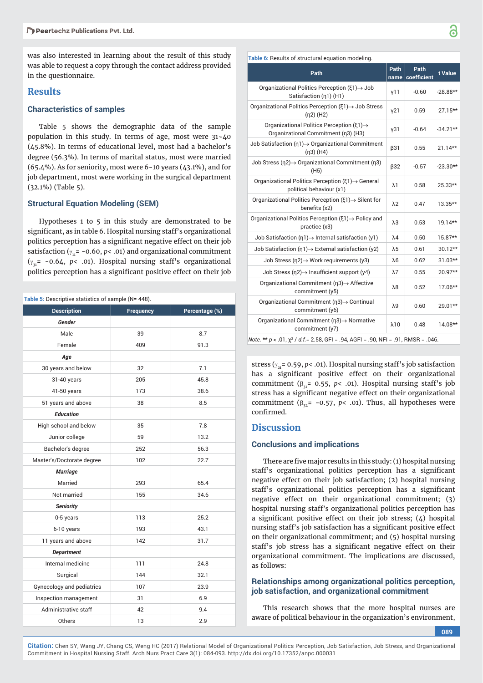was also interested in learning about the result of this study was able to request a copy through the contact address provided in the questionnaire.

#### **Results**

#### **Characteristics of samples**

Table 5 shows the demographic data of the sample population in this study. In terms of age, most were  $31 - 40$ (45.8%). In terms of educational level, most had a bachelor's degree (56.3%). In terms of marital status, most were married (65.4%). As for seniority, most were 6-10 years (43.1%), and for job department, most were working in the surgical department (32.1%) (Table 5).

#### **Structural Equation Modeling (SEM)**

Hypotheses 1 to 5 in this study are demonstrated to be significant, as in table 6. Hospital nursing staff's organizational politics perception has a significant negative effect on their job satisfaction ( $\gamma_{11}$ = -0.60, *p*< .01) and organizational commitment  $(y_{31} = -0.64, p < .01)$ . Hospital nursing staff's organizational politics perception has a significant positive effect on their job

| Table 5: Descriptive statistics of sample (N= 448). |                  |                |  |  |
|-----------------------------------------------------|------------------|----------------|--|--|
| <b>Description</b>                                  | <b>Frequency</b> | Percentage (%) |  |  |
| Gender                                              |                  |                |  |  |
| Male                                                | 39               | 8.7            |  |  |
| Female                                              | 409              | 91.3           |  |  |
| Age                                                 |                  |                |  |  |
| 30 years and below                                  | 32               | 7.1            |  |  |
| 31-40 years                                         | 205              | 45.8           |  |  |
| 41-50 years                                         | 173              | 38.6           |  |  |
| 51 years and above                                  | 38               | 8.5            |  |  |
| <b>Education</b>                                    |                  |                |  |  |
| High school and below                               | 35               | 7.8            |  |  |
| Junior college                                      | 59               | 13.2           |  |  |
| Bachelor's degree                                   | 252              | 56.3           |  |  |
| Master's/Doctorate degree                           | 102              | 22.7           |  |  |
| <b>Marriage</b>                                     |                  |                |  |  |
| Married                                             | 293              | 65.4           |  |  |
| Not married                                         | 155              | 34.6           |  |  |
| <b>Seniority</b>                                    |                  |                |  |  |
| 0-5 years                                           | 113              | 25.2           |  |  |
| 6-10 years                                          | 193              | 43.1           |  |  |
| 11 years and above                                  | 142              | 31.7           |  |  |
| <b>Department</b>                                   |                  |                |  |  |
| Internal medicine                                   | 111              | 24.8           |  |  |
| Surgical                                            | 144              | 32.1           |  |  |
| Gynecology and pediatrics                           | 107              | 23.9           |  |  |
| Inspection management                               | 31               | 6.9            |  |  |
| Administrative staff                                | 42               | 9.4            |  |  |
| Others                                              | 13               | 2.9            |  |  |

| Path                                                                                               | Path<br>name    | Path<br>coefficient | t Value    |
|----------------------------------------------------------------------------------------------------|-----------------|---------------------|------------|
| Organizational Politics Perception ( $\xi$ 1) $\rightarrow$ Job<br>Satisfaction (n1) (H1)          | y11             | $-0.60$             | $-28.88**$ |
| Organizational Politics Perception $(51) \rightarrow$ Job Stress<br>$(n2)$ (H2)                    | y21             | 0.59                | 27.15**    |
| Organizational Politics Perception ( $\xi$ 1) $\rightarrow$<br>Organizational Commitment (n3) (H3) | V <sub>31</sub> | $-0.64$             | $-34.21**$ |
| Job Satisfaction ( $n1$ ) $\rightarrow$ Organizational Commitment<br>$(n3)$ (H4)                   | $\beta$ 31      | 0.55                | $21.14**$  |
| Job Stress $(n2) \rightarrow$ Organizational Commitment $(n3)$<br>(H5)                             | $\beta$ 32      | $-0.57$             | $-23.30**$ |
| Organizational Politics Perception $(51) \rightarrow$ General<br>political behaviour (x1)          | $\lambda$ 1     | 0.58                | 25.33**    |
| Organizational Politics Perception ( $\xi$ 1) $\rightarrow$ Silent for<br>benefits (x2)            | $\lambda$ 2     | 0.47                | 13.35**    |
| Organizational Politics Perception (ξ1) -> Policy and<br>practice (x3)                             | $\lambda$ 3     | 0.53                | $19.14**$  |
| Job Satisfaction $(\eta_1) \rightarrow$ Internal satisfaction $(\gamma_1)$                         | $\lambda$ 4     | 0.50                | 15.87**    |
| Job Satisfaction $(\eta 1) \rightarrow$ External satisfaction (y2)                                 | $\lambda$ 5     | 0.61                | 30.12**    |
| Job Stress ( $n2$ ) $\rightarrow$ Work requirements (y3)                                           | $\lambda$ 6     | 0.62                | $31.03**$  |
| Job Stress $(n2) \rightarrow$ Insufficient support (y4)                                            | $\lambda$ 7     | 0.55                | 20.97**    |
| Organizational Commitment ( $n3$ ) $\rightarrow$ Affective<br>commitment (y5)                      | $\lambda8$      | 0.52                | 17.06**    |
| Organizational Commitment ( $n3$ ) $\rightarrow$ Continual<br>commitment (y6)                      | λ9              | 0.60                | 29.01**    |
| Organizational Commitment ( $n3$ ) $\rightarrow$ Normative<br>commitment (y7)                      | $\lambda$ 10    | 0.48                | $14.08**$  |
| Note. ** $p < .01$ , $\chi^2$ / d.f. = 2.58, GFI = .94, AGFI = .90, NFI = .91, RMSR = .046.        |                 |                     |            |

stress ( $\gamma_{21}$ = 0.59, *p*< .01). Hospital nursing staff's job satisfaction has a significant positive effect on their organizational commitment ( $\beta_{21}$ = 0.55, *p*< .01). Hospital nursing staff's job stress has a significant negative effect on their organizational commitment ( $\beta_{32}$ = -0.57, *p*< .01). Thus, all hypotheses were confirmed

# **Discussion**

#### **Conclusions and implications**

There are five major results in this study: (1) hospital nursing staff's organizational politics perception has a significant negative effect on their job satisfaction; (2) hospital nursing staff's organizational politics perception has a significant negative effect on their organizational commitment; (3) hospital nursing staff's organizational politics perception has a significant positive effect on their job stress;  $(4)$  hospital nursing staff's job satisfaction has a significant positive effect on their organizational commitment; and (5) hospital nursing staff's job stress has a significant negative effect on their organizational commitment. The implications are discussed, as follows:

#### **Relationships among organizational politics perception, job satisfaction, and organizational commitment**

This research shows that the more hospital nurses are aware of political behaviour in the organization's environment,

**089**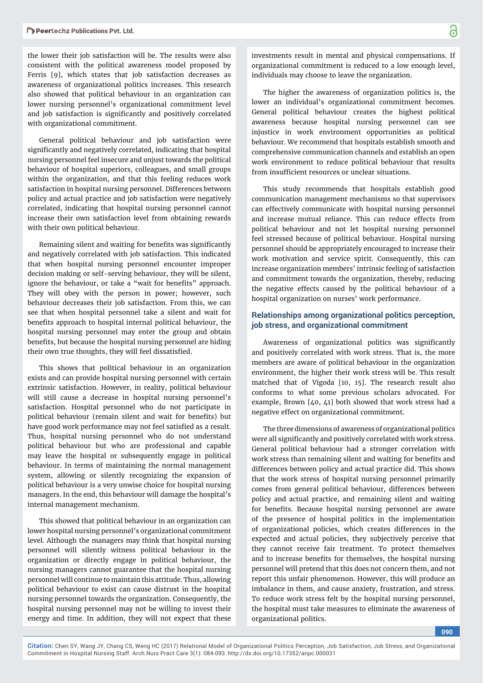the lower their job satisfaction will be. The results were also consistent with the political awareness model proposed by Ferris [9], which states that job satisfaction decreases as awareness of organizational politics increases. This research also showed that political behaviour in an organization can lower nursing personnel's organizational commitment level and job satisfaction is significantly and positively correlated with organizational commitment.

General political behaviour and job satisfaction were significantly and negatively correlated, indicating that hospital nursing personnel feel insecure and unjust towards the political behaviour of hospital superiors, colleagues, and small groups within the organization, and that this feeling reduces work satisfaction in hospital nursing personnel. Differences between policy and actual practice and job satisfaction were negatively correlated, indicating that hospital nursing personnel cannot increase their own satisfaction level from obtaining rewards with their own political behaviour.

Remaining silent and waiting for benefits was significantly and negatively correlated with job satisfaction. This indicated that when hospital nursing personnel encounter improper decision making or self-serving behaviour, they will be silent, ignore the behaviour, or take a "wait for benefits" approach. They will obey with the person in power; however, such behaviour decreases their job satisfaction. From this, we can see that when hospital personnel take a silent and wait for benefits approach to hospital internal political behaviour, the hospital nursing personnel may enter the group and obtain benefits, but because the hospital nursing personnel are hiding their own true thoughts, they will feel dissatisfied.

This shows that political behaviour in an organization exists and can provide hospital nursing personnel with certain extrinsic satisfaction. However, in reality, political behaviour will still cause a decrease in hospital nursing personnel's satisfaction. Hospital personnel who do not participate in political behaviour (remain silent and wait for benefits) but have good work performance may not feel satisfied as a result. Thus, hospital nursing personnel who do not understand political behaviour but who are professional and capable may leave the hospital or subsequently engage in political behaviour. In terms of maintaining the normal management system, allowing or silently recognizing the expansion of political behaviour is a very unwise choice for hospital nursing managers. In the end, this behaviour will damage the hospital's internal management mechanism.

This showed that political behaviour in an organization can lower hospital nursing personnel's organizational commitment level. Although the managers may think that hospital nursing personnel will silently witness political behaviour in the organization or directly engage in political behaviour, the nursing managers cannot guarantee that the hospital nursing personnel will continue to maintain this attitude. Thus, allowing political behaviour to exist can cause distrust in the hospital nursing personnel towards the organization. Consequently, the hospital nursing personnel may not be willing to invest their energy and time. In addition, they will not expect that these

investments result in mental and physical compensations. If organizational commitment is reduced to a low enough level, individuals may choose to leave the organization.

The higher the awareness of organization politics is, the lower an individual's organizational commitment becomes. General political behaviour creates the highest political awareness because hospital nursing personnel can see injustice in work environment opportunities as political behaviour. We recommend that hospitals establish smooth and comprehensive communication channels and establish an open work environment to reduce political behaviour that results from insufficient resources or unclear situations.

This study recommends that hospitals establish good communication management mechanisms so that supervisors can effectively communicate with hospital nursing personnel and increase mutual reliance. This can reduce effects from political behaviour and not let hospital nursing personnel feel stressed because of political behaviour. Hospital nursing personnel should be appropriately encouraged to increase their work motivation and service spirit. Consequently, this can increase organization members' intrinsic feeling of satisfaction and commitment towards the organization, thereby, reducing the negative effects caused by the political behaviour of a hospital organization on nurses' work performance.

# **Relationships among organizational politics perception, job stress, and organizational commitment**

Awareness of organizational politics was significantly and positively correlated with work stress. That is, the more members are aware of political behaviour in the organization environment, the higher their work stress will be. This result matched that of Vigoda [10, 15]. The research result also conforms to what some previous scholars advocated. For example, Brown [40, 41] both showed that work stress had a negative effect on organizational commitment.

The three dimensions of awareness of organizational politics were all significantly and positively correlated with work stress. General political behaviour had a stronger correlation with work stress than remaining silent and waiting for benefits and differences between policy and actual practice did. This shows that the work stress of hospital nursing personnel primarily comes from general political behaviour, differences between policy and actual practice, and remaining silent and waiting for benefits. Because hospital nursing personnel are aware of the presence of hospital politics in the implementation of organizational policies, which creates differences in the expected and actual policies, they subjectively perceive that they cannot receive fair treatment. To protect themselves and to increase benefits for themselves, the hospital nursing personnel will pretend that this does not concern them, and not report this unfair phenomenon. However, this will produce an imbalance in them, and cause anxiety, frustration, and stress. To reduce work stress felt by the hospital nursing personnel, the hospital must take measures to eliminate the awareness of organizational politics.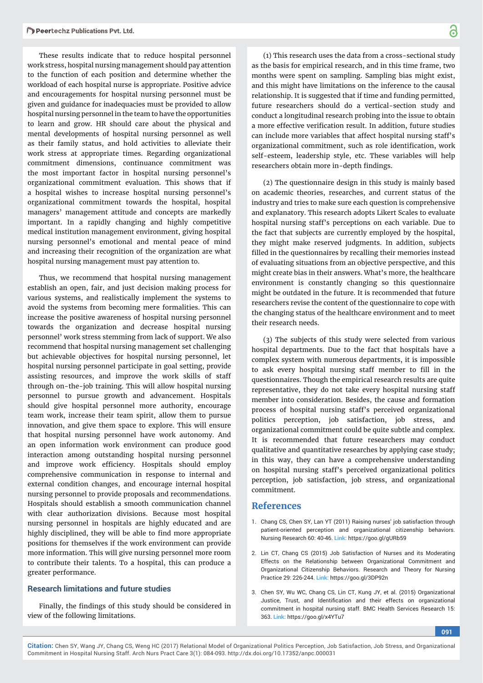These results indicate that to reduce hospital personnel work stress, hospital nursing management should pay attention to the function of each position and determine whether the workload of each hospital nurse is appropriate. Positive advice and encouragements for hospital nursing personnel must be given and guidance for inadequacies must be provided to allow hospital nursing personnel in the team to have the opportunities to learn and grow. HR should care about the physical and mental developments of hospital nursing personnel as well as their family status, and hold activities to alleviate their work stress at appropriate times. Regarding organizational commitment dimensions, continuance commitment was the most important factor in hospital nursing personnel's organizational commitment evaluation. This shows that if a hospital wishes to increase hospital nursing personnel's organizational commitment towards the hospital, hospital managers' management attitude and concepts are markedly important. In a rapidly changing and highly competitive medical institution management environment, giving hospital nursing personnel's emotional and mental peace of mind and increasing their recognition of the organization are what hospital nursing management must pay attention to.

Thus, we recommend that hospital nursing management establish an open, fair, and just decision making process for various systems, and realistically implement the systems to avoid the systems from becoming mere formalities. This can increase the positive awareness of hospital nursing personnel towards the organization and decrease hospital nursing personnel' work stress stemming from lack of support. We also recommend that hospital nursing management set challenging but achievable objectives for hospital nursing personnel, let hospital nursing personnel participate in goal setting, provide assisting resources, and improve the work skills of staff through on-the-job training. This will allow hospital nursing personnel to pursue growth and advancement. Hospitals should give hospital personnel more authority, encourage team work, increase their team spirit, allow them to pursue innovation, and give them space to explore. This will ensure that hospital nursing personnel have work autonomy. And an open information work environment can produce good interaction among outstanding hospital nursing personnel and improve work efficiency. Hospitals should employ comprehensive communication in response to internal and external condition changes, and encourage internal hospital nursing personnel to provide proposals and recommendations. Hospitals should establish a smooth communication channel with clear authorization divisions. Because most hospital nursing personnel in hospitals are highly educated and are highly disciplined, they will be able to find more appropriate positions for themselves if the work environment can provide more information. This will give nursing personnel more room to contribute their talents. To a hospital, this can produce a greater performance.

#### **Research limitations and future studies**

Finally, the findings of this study should be considered in view of the following limitations.

(1) This research uses the data from a cross-sectional study as the basis for empirical research, and in this time frame, two months were spent on sampling. Sampling bias might exist, and this might have limitations on the inference to the causal relationship. It is suggested that if time and funding permitted, future researchers should do a vertical-section study and conduct a longitudinal research probing into the issue to obtain a more effective verification result. In addition, future studies can include more variables that affect hospital nursing staff's organizational commitment, such as role identification, work self-esteem, leadership style, etc. These variables will help researchers obtain more in-depth findings.

(2) The questionnaire design in this study is mainly based on academic theories, researches, and current status of the industry and tries to make sure each question is comprehensive and explanatory. This research adopts Likert Scales to evaluate hospital nursing staff's perceptions on each variable. Due to the fact that subjects are currently employed by the hospital, they might make reserved judgments. In addition, subjects filled in the questionnaires by recalling their memories instead of evaluating situations from an objective perspective, and this might create bias in their answers. What's more, the healthcare environment is constantly changing so this questionnaire might be outdated in the future. It is recommended that future researchers revise the content of the questionnaire to cope with the changing status of the healthcare environment and to meet their research needs.

(3) The subjects of this study were selected from various hospital departments. Due to the fact that hospitals have a complex system with numerous departments, it is impossible to ask every hospital nursing staff member to fill in the questionnaires. Though the empirical research results are quite representative, they do not take every hospital nursing staff member into consideration. Besides, the cause and formation process of hospital nursing staff's perceived organizational politics perception, job satisfaction, job stress, and organizational commitment could be quite subtle and complex. It is recommended that future researchers may conduct qualitative and quantitative researches by applying case study; in this way, they can have a comprehensive understanding on hospital nursing staff's perceived organizational politics perception, job satisfaction, job stress, and organizational commitment.

# **References**

- 1. Chang CS, Chen SY, Lan YT (2011) Raising nurses' job satisfaction through patient-oriented perception and organizational citizenship behaviors. Nursing Research 60: 40-46. **Link:** https://goo.gl/gURb59
- 2. Lin CT, Chang CS (2015) Job Satisfaction of Nurses and its Moderating Effects on the Relationship between Organizational Commitment and Organizational Citizenship Behaviors. Research and Theory for Nursing Practice 29: 226-244. **Link:** https://goo.gl/3DP92n
- 3. Chen SY, Wu WC, Chang CS, Lin CT, Kung JY, et al. (2015) Organizational Justice, Trust, and Identification and their effects on organizational commitment in hospital nursing staff. BMC Health Services Research 15: 363. **Link:** https://goo.gl/x4YTu7

**091**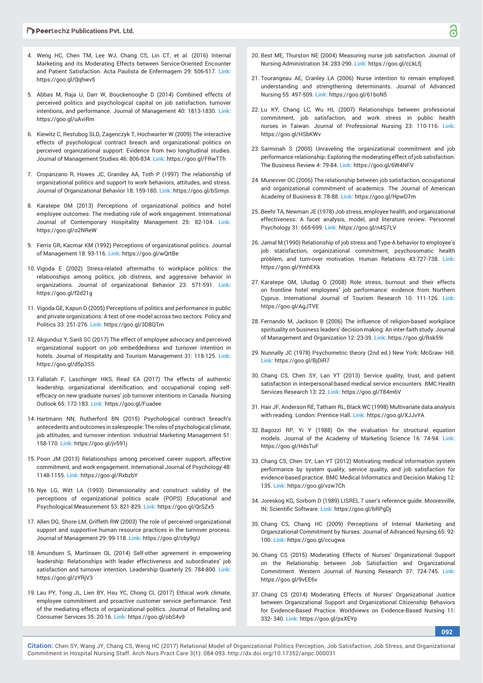- 4. Weng HC, Chen TM, Lee WJ, Chang CS, Lin CT, et al. (2016) Internal Marketing and its Moderating Effects between Service-Oriented Encounter and Patient Satisfaction. Acta Paulista de Enfermagem 29: 506-517. **Link:** https://goo.gl/Qqhwv5
- 5. Abbas M, Raja U, Darr W, Bouckenooghe D (2014) Combined effects of perceived politics and psychological capital on job satisfaction, turnover intentions, and performance. Journal of Management 40: 1813-1830. **Link:** https://goo.gl/uAviRm
- 6. Kiewitz C, Restubog SLD, Zagenczyk T, Hochwarter W (2009) The interactive effects of psychological contract breach and organizational politics on perceived organizational support: Evidence from two longitudinal studies. Journal of Management Studies 46: 806-834. **Link:** https://goo.gl/FRwTTh
- 7. Cropanzano R, Howes JC, Grandey AA, Toth P (1997) The relationship of organizational politics and support to work behaviors, attitudes, and stress. Journal of Organizational Behavior 18: 159-180. **Link:** https://goo.gl/bSrmjs
- 8. Karatepe OM (2013) Perceptions of organizational politics and hotel employee outcomes: The mediating role of work engagement. International Journal of Contemporary Hospitality Management 25: 82-104. **Link:** https://goo.gl/o2NReW
- 9. Ferris GR, Kacmar KM (1992) Perceptions of organizational politics. Journal of Management 18: 93-116. **Link:** https://goo.gl/wQrtBe
- 10. Vigoda E (2002) Stress-related aftermaths to workplace politics: the relationships among politics, job distress, and aggressive behavior in organizations. Journal of organizational Behavior 23: 571-591. **Link:** https://goo.gl/f2d21g
- 11. Vigoda GE, Kapun D (2005) Perceptions of politics and performance in public and private organizations: A test of one model across two sectors. Policy and Politics 33: 251-276. **Link:** https://goo.gl/3D8QTm
- 12. Akgunduz Y, Sanli SC (2017) The effect of employee advocacy and perceived organizational support on job embeddedness and turnover intention in hotels. Journal of Hospitality and Tourism Management 31: 118-125. **Link:** https://goo.gl/d5p3SS
- 13. Fallatah F, Laschinger HKS, Read EA (2017) The effects of authentic leadership, organizational identification, and occupational coping selfefficacy on new graduate nurses' job turnover intentions in Canada. Nursing Outlook 65: 172-183. **Link:** https://goo.gl/Fuadee
- 14. Hartmann NN, Rutherford BN (2015) Psychological contract breach's antecedents and outcomes in salespeople: The roles of psychological climate, job attitudes, and turnover intention. Industrial Marketing Management 51: 158-170. **Link:** https://goo.gl/jv591j
- 15. Poon JM (2013) Relationships among perceived career support, affective commitment, and work engagement. International Journal of Psychology 48: 1148-1155. **Link:** https://goo.gl/RxbzbY
- 16. Nye LG, Witt LA (1993) Dimensionality and construct validity of the perceptions of organizational politics scale (POPS) Educational and Psychological Measurement 53: 821-829. **Link:** https://goo.gl/QrSZx5
- 17. Allen DG, Shore LM, Griffeth RW (2003) The role of perceived organizational support and supportive human resource practices in the turnover process. Journal of Management 29: 99-118. **Link:** https://goo.gl/cby9gU
- 18. Amundsen S, Martinsen OL (2014) Self-other agreement in empowering leadership: Relationships with leader effectiveness and subordinates' job satisfaction and turnover intention. Leadership Quarterly 25: 784-800. **Link:** https://goo.gl/zYRjV3
- 19. Lau PY, Tong JL, Lien BY, Hsu YC, Chong CL (2017) Ethical work climate, employee commitment and proactive customer service performance: Test of the mediating effects of organizational politics. Journal of Retailing and Consumer Services 35: 20-16. **Link:** https://goo.gl/obS4v9
- 20. Best ME, Thurston NE (2004) Measuring nurse job satisfaction. Journal of Nursing Administration 34: 283-290. **Link:** https://goo.gl/cLkLfj
- 21. Tourangeau AE, Cranley LA (2006) Nurse intention to remain employed: understanding and strengthening determinants. Journal of Advanced Nursing 55: 497-509. **Link:** https://goo.gl/61boN5
- 22. Lu KY, Chang LC, Wu HL (2007) Relationships between professional commitment, job satisfaction, and work stress in public health nurses in Taiwan. Journal of Professional Nursing 23: 110-116. **Link:** https://goo.gl/HSbKWv
- 23. Sarminah S (2005) Unraveling the organizational commitment and job performance relationship: Exploring the moderating effect of job satisfaction. The Business Review 4: 79-84. **Link:** https://goo.gl/6W4NFV
- 24. Munevver OC (2006) The relationship between job satisfaction, occupational and organizational commitment of academics. The Journal of American Academy of Business 8: 78-88. **Link:** https://goo.gl/HpwD7m
- 25. Beehr TA, Newman JE (1978) Job stress, employee health, and organizational effectiveness: A facet analysis, model, and literature review. Personnel Psychology 31: 665-699. **Link:** https://goo.gl/n4S7LV
- 26. Jamal M (1990) Relationship of job stress and Type-A behavior to employee's job statisfaction, organizational commitment, psychosomatic health problem, and turn-over motivation. Human Relations 43:727-738. **Link:** https://goo.gl/YmhEKk
- 27. Karatepe OM, Uludag O (2008) Role stress, burnout and their effects on frontline hotel employees' job performance: evidence from Northern Cyprus. International Journal of Tourism Research 10: 111-126. **Link:** https://goo.gl/AgJTVE
- 28. Fernando M, Jackson B (2006) The influence of religion-based workplace spirituality on business leaders' decision making: An inter-faith study. Journal of Management and Organization 12: 23-39. **Link:** https://goo.gl/Rsk59i
- 29. Nunnally JC (1978) Psychometric theory (2nd ed.) New York: McGraw- Hill. **Link:** https://goo.gl/BjDiR7
- 30. Chang CS, Chen SY, Lan YT (2013) Service quality, trust, and patient satisfaction in interpersonal-based medical service encounters. BMC Health Services Research 13: 22. **Link:** https://goo.gl/T84m6V
- 31. Hair JF, Anderson RE, Tatham RL, Black WC (1998) Multivariate data analysis with reading. London: Prentice Hall. **Link:** https://goo.gl/XJJvYA
- 32. Bagozzi RP, Yi Y (1988) On the evaluation for structural equation models. Journal of the Academy of Marketing Science 16: 74-94. **Link:** https://goo.gl/HdsTuF
- 33. Chang CS, Chen SY, Lan YT (2012) Motivating medical information system performance by system quality, service quality, and job satisfaction for evidence-based practice. BMC Medical Informatics and Decision Making 12: 135. **Link:** https://goo.gl/vzw7Ch
- 34. Joreskog KG, Sorbom D (1989) LISREL 7 user's reference guide. Mooresville, IN: Scientific Software. Link: https://goo.gl/bRPgDj
- 35. Chang CS, Chang HC (2009) Perceptions of Internal Marketing and Organizational Commitment by Nurses. Journal of Advanced Nursing 65: 92- 100. **Link:** https://goo.gl/ccugwa
- 36. Chang CS (2015) Moderating Effects of Nurses' Organizational Support on the Relationship between Job Satisfaction and Organizational Commitment. Western Journal of Nursing Research 37: 724-745. **Link:** https://goo.gl/9vEE6v
- 37. Chang CS (2014) Moderating Effects of Nurses' Organizational Justice between Organizational Support and Organizational Citizenship Behaviors for Evidence-Based Practice. Worldviews on Evidence-Based Nursing 11: 332- 340. **Link:** https://goo.gl/pxXEYp

**092**